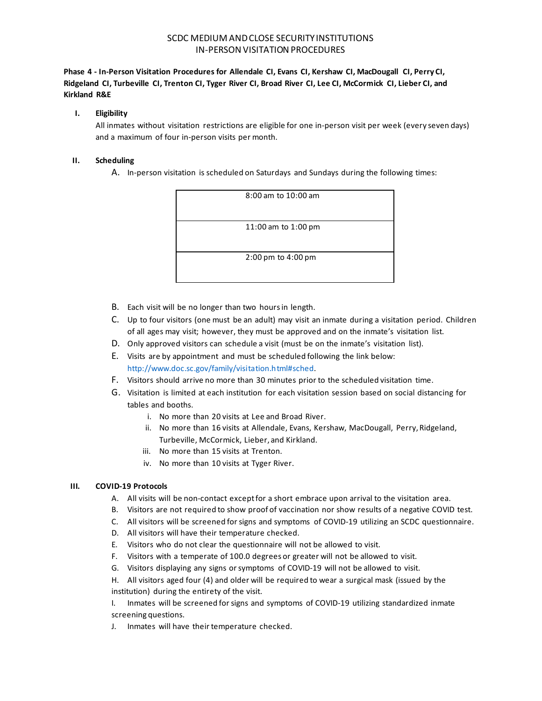# SCDC MEDIUM AND CLOSE SECURITY INSTITUTIONS IN-PERSON VISITATION PROCEDURES

**Phase 4 - In-Person Visitation Procedures for Allendale CI, Evans CI, Kershaw CI, MacDougall CI, Perry CI, Ridgeland CI, Turbeville CI, Trenton CI, Tyger River CI, Broad River CI, Lee CI, McCormick CI, Lieber CI, and Kirkland R&E**

### **I. Eligibility**

All inmates without visitation restrictions are eligible for one in-person visit per week (every seven days) and a maximum of four in-person visits per month.

### **II. Scheduling**

A. In-person visitation is scheduled on Saturdays and Sundays during the following times:



- B. Each visit will be no longer than two hours in length.
- C. Up to four visitors (one must be an adult) may visit an inmate during a visitation period. Children of all ages may visit; however, they must be approved and on the inmate's visitation list.
- D. Only approved visitors can schedule a visit (must be on the inmate's visitation list).
- E. Visits are by appointment and must be scheduled following the link below: [http://www.doc.sc.gov/family/visitation.html#sched.](http://www.doc.sc.gov/family/visitation.html#sched)
- F. Visitors should arrive no more than 30 minutes prior to the scheduled visitation time.
- G. Visitation is limited at each institution for each visitation session based on social distancing for tables and booths.
	- i. No more than 20 visits at Lee and Broad River.
	- ii. No more than 16 visits at Allendale, Evans, Kershaw, MacDougall, Perry, Ridgeland, Turbeville, McCormick, Lieber, and Kirkland.
	- iii. No more than 15 visits at Trenton.
	- iv. No more than 10 visits at Tyger River.

## **III. COVID-19 Protocols**

- A. All visits will be non-contact except for a short embrace upon arrival to the visitation area.
- B. Visitors are not required to show proof of vaccination nor show results of a negative COVID test.
- C. All visitors will be screened for signs and symptoms of COVID-19 utilizing an SCDC questionnaire.
- D. All visitors will have their temperature checked.
- E. Visitors who do not clear the questionnaire will not be allowed to visit.
- F. Visitors with a temperate of 100.0 degrees or greater will not be allowed to visit.
- G. Visitors displaying any signs or symptoms of COVID-19 will not be allowed to visit.
- H. All visitors aged four (4) and older will be required to wear a surgical mask (issued by the institution) during the entirety of the visit.

I. Inmates will be screened for signs and symptoms of COVID-19 utilizing standardized inmate screening questions.

J. Inmates will have their temperature checked.